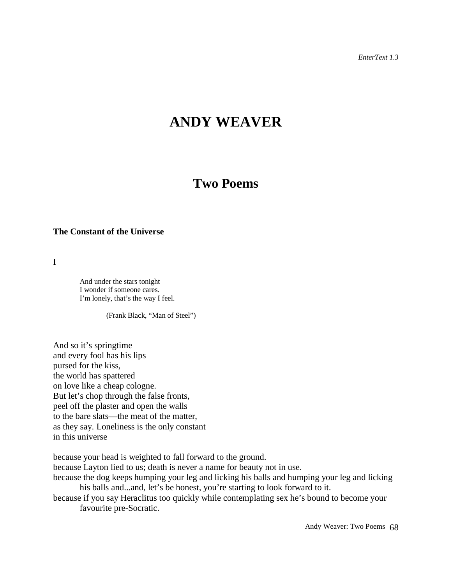*EnterText 1.3*

# **ANDY WEAVER**

## **Two Poems**

#### **The Constant of the Universe**

I

And under the stars tonight I wonder if someone cares. I'm lonely, that's the way I feel.

(Frank Black, "Man of Steel")

And so it's springtime and every fool has his lips pursed for the kiss, the world has spattered on love like a cheap cologne. But let's chop through the false fronts, peel off the plaster and open the walls to the bare slats—the meat of the matter, as they say. Loneliness is the only constant in this universe

because your head is weighted to fall forward to the ground.

because Layton lied to us; death is never a name for beauty not in use.

because the dog keeps humping your leg and licking his balls and humping your leg and licking his balls and...and, let's be honest, you're starting to look forward to it.

because if you say Heraclitus too quickly while contemplating sex he's bound to become your favourite pre-Socratic.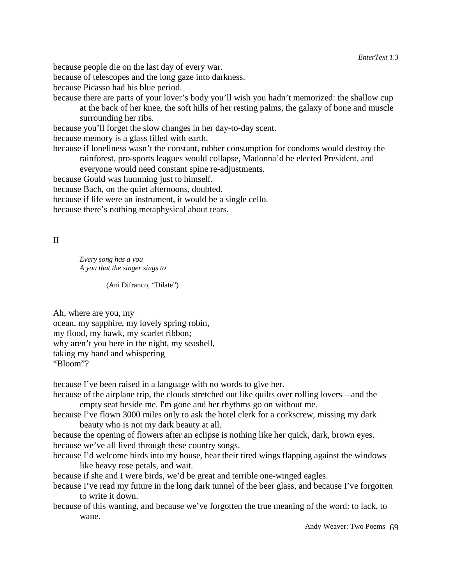because people die on the last day of every war.

because of telescopes and the long gaze into darkness.

because Picasso had his blue period.

because there are parts of your lover's body you'll wish you hadn't memorized: the shallow cup at the back of her knee, the soft hills of her resting palms, the galaxy of bone and muscle surrounding her ribs.

because you'll forget the slow changes in her day-to-day scent.

because memory is a glass filled with earth.

because if loneliness wasn't the constant, rubber consumption for condoms would destroy the rainforest, pro-sports leagues would collapse, Madonna'd be elected President, and

everyone would need constant spine re-adjustments.

because Gould was humming just to himself.

because Bach, on the quiet afternoons, doubted.

because if life were an instrument, it would be a single cello.

because there's nothing metaphysical about tears.

II

*Every song has a you A you that the singer sings to*

(Ani Difranco, "Dilate")

Ah, where are you, my

ocean, my sapphire, my lovely spring robin, my flood, my hawk, my scarlet ribbon; why aren't you here in the night, my seashell, taking my hand and whispering "Bloom"?

because I've been raised in a language with no words to give her.

- because of the airplane trip, the clouds stretched out like quilts over rolling lovers—and the empty seat beside me. I'm gone and her rhythms go on without me.
- because I've flown 3000 miles only to ask the hotel clerk for a corkscrew, missing my dark beauty who is not my dark beauty at all.

because the opening of flowers after an eclipse is nothing like her quick, dark, brown eyes. because we've all lived through these country songs.

because I'd welcome birds into my house, hear their tired wings flapping against the windows like heavy rose petals, and wait.

because if she and I were birds, we'd be great and terrible one-winged eagles.

because I've read my future in the long dark tunnel of the beer glass, and because I've forgotten to write it down.

because of this wanting, and because we've forgotten the true meaning of the word: to lack, to wane.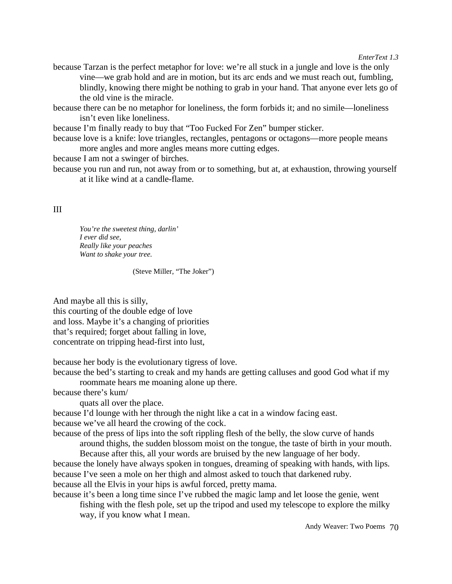*EnterText 1.3*

because Tarzan is the perfect metaphor for love: we're all stuck in a jungle and love is the only vine—we grab hold and are in motion, but its arc ends and we must reach out, fumbling, blindly, knowing there might be nothing to grab in your hand. That anyone ever lets go of the old vine is the miracle.

because there can be no metaphor for loneliness, the form forbids it; and no simile—loneliness isn't even like loneliness.

because I'm finally ready to buy that "Too Fucked For Zen" bumper sticker.

because love is a knife: love triangles, rectangles, pentagons or octagons—more people means more angles and more angles means more cutting edges.

because I am not a swinger of birches.

because you run and run, not away from or to something, but at, at exhaustion, throwing yourself at it like wind at a candle-flame.

#### III

*You're the sweetest thing, darlin' I ever did see, Really like your peaches Want to shake your tree.*

(Steve Miller, "The Joker")

And maybe all this is silly, this courting of the double edge of love and loss. Maybe it's a changing of priorities that's required; forget about falling in love, concentrate on tripping head-first into lust,

because her body is the evolutionary tigress of love.

because the bed's starting to creak and my hands are getting calluses and good God what if my

roommate hears me moaning alone up there.

because there's kum/

quats all over the place.

because I'd lounge with her through the night like a cat in a window facing east. because we've all heard the crowing of the cock.

because of the press of lips into the soft rippling flesh of the belly, the slow curve of hands around thighs, the sudden blossom moist on the tongue, the taste of birth in your mouth.

Because after this, all your words are bruised by the new language of her body. because the lonely have always spoken in tongues, dreaming of speaking with hands, with lips. because I've seen a mole on her thigh and almost asked to touch that darkened ruby. because all the Elvis in your hips is awful forced, pretty mama.

because it's been a long time since I've rubbed the magic lamp and let loose the genie, went fishing with the flesh pole, set up the tripod and used my telescope to explore the milky way, if you know what I mean.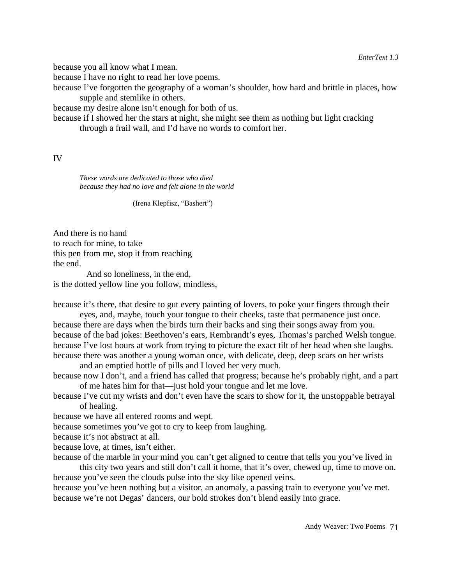because you all know what I mean.

because I have no right to read her love poems.

because I've forgotten the geography of a woman's shoulder, how hard and brittle in places, how supple and stemlike in others.

because my desire alone isn't enough for both of us.

because if I showed her the stars at night, she might see them as nothing but light cracking through a frail wall, and I'd have no words to comfort her.

### IV

*These words are dedicated to those who died because they had no love and felt alone in the world*

(Irena Klepfisz, "Bashert")

And there is no hand to reach for mine, to take this pen from me, stop it from reaching the end.

 And so loneliness, in the end, is the dotted yellow line you follow, mindless,

because it's there, that desire to gut every painting of lovers, to poke your fingers through their

eyes, and, maybe, touch your tongue to their cheeks, taste that permanence just once. because there are days when the birds turn their backs and sing their songs away from you. because of the bad jokes: Beethoven's ears, Rembrandt's eyes, Thomas's parched Welsh tongue. because I've lost hours at work from trying to picture the exact tilt of her head when she laughs. because there was another a young woman once, with delicate, deep, deep scars on her wrists

and an emptied bottle of pills and I loved her very much.

because now I don't, and a friend has called that progress; because he's probably right, and a part of me hates him for that—just hold your tongue and let me love.

because I've cut my wrists and don't even have the scars to show for it, the unstoppable betrayal of healing.

because we have all entered rooms and wept.

because sometimes you've got to cry to keep from laughing.

because it's not abstract at all.

because love, at times, isn't either.

because of the marble in your mind you can't get aligned to centre that tells you you've lived in this city two years and still don't call it home, that it's over, chewed up, time to move on.

because you've seen the clouds pulse into the sky like opened veins. because you've been nothing but a visitor, an anomaly, a passing train to everyone you've met. because we're not Degas' dancers, our bold strokes don't blend easily into grace.